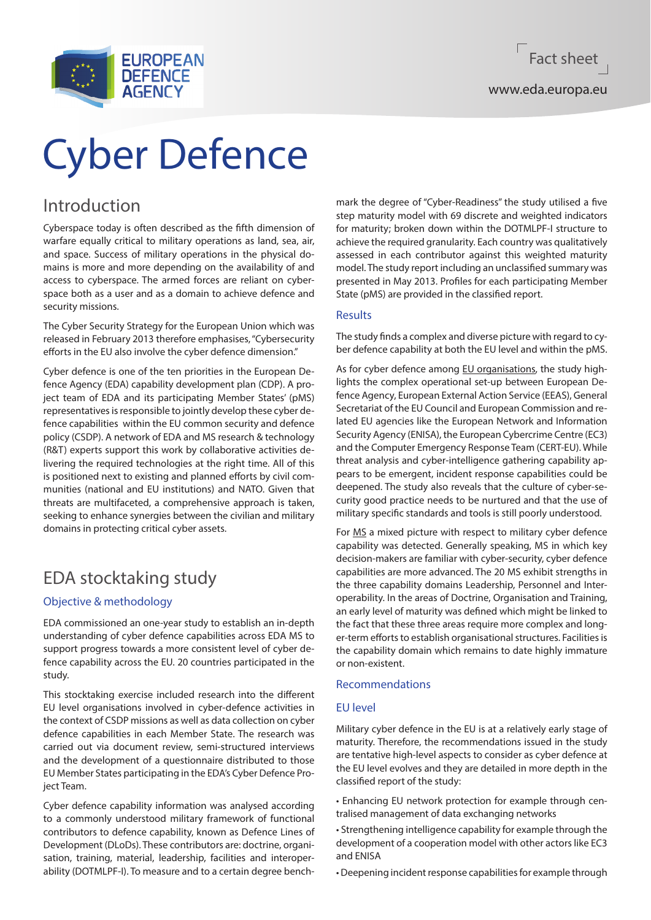

# Cyber Defence

# Introduction

Cyberspace today is often described as the fifth dimension of warfare equally critical to military operations as land, sea, air, and space. Success of military operations in the physical domains is more and more depending on the availability of and access to cyberspace. The armed forces are reliant on cyberspace both as a user and as a domain to achieve defence and security missions.

The Cyber Security Strategy for the European Union which was released in February 2013 therefore emphasises, "Cybersecurity efforts in the EU also involve the cyber defence dimension."

Cyber defence is one of the ten priorities in the European Defence Agency (EDA) capability development plan (CDP). A project team of EDA and its participating Member States' (pMS) representatives is responsible to jointly develop these cyber defence capabilities within the EU common security and defence policy (CSDP). A network of EDA and MS research & technology (R&T) experts support this work by collaborative activities delivering the required technologies at the right time. All of this is positioned next to existing and planned efforts by civil communities (national and EU institutions) and NATO. Given that threats are multifaceted, a comprehensive approach is taken, seeking to enhance synergies between the civilian and military domains in protecting critical cyber assets.

# EDA stocktaking study

# Objective & methodology

EDA commissioned an one-year study to establish an in-depth understanding of cyber defence capabilities across EDA MS to support progress towards a more consistent level of cyber defence capability across the EU. 20 countries participated in the study.

This stocktaking exercise included research into the different EU level organisations involved in cyber-defence activities in the context of CSDP missions as well as data collection on cyber defence capabilities in each Member State. The research was carried out via document review, semi-structured interviews and the development of a questionnaire distributed to those EU Member States participating in the EDA's Cyber Defence Project Team.

Cyber defence capability information was analysed according to a commonly understood military framework of functional contributors to defence capability, known as Defence Lines of Development (DLoDs). These contributors are: doctrine, organisation, training, material, leadership, facilities and interoperability (DOTMLPF-I). To measure and to a certain degree benchmark the degree of "Cyber-Readiness" the study utilised a five step maturity model with 69 discrete and weighted indicators for maturity; broken down within the DOTMLPF-I structure to achieve the required granularity. Each country was qualitatively assessed in each contributor against this weighted maturity model. The study report including an unclassified summary was presented in May 2013. Profiles for each participating Member State (pMS) are provided in the classified report.

# **Results**

The study finds a complex and diverse picture with regard to cyber defence capability at both the EU level and within the pMS.

As for cyber defence among EU organisations, the study highlights the complex operational set-up between European Defence Agency, European External Action Service (EEAS), General Secretariat of the EU Council and European Commission and related EU agencies like the European Network and Information Security Agency (ENISA), the European Cybercrime Centre (EC3) and the Computer Emergency Response Team (CERT-EU). While threat analysis and cyber-intelligence gathering capability appears to be emergent, incident response capabilities could be deepened. The study also reveals that the culture of cyber-security good practice needs to be nurtured and that the use of military specific standards and tools is still poorly understood.

For MS a mixed picture with respect to military cyber defence capability was detected. Generally speaking, MS in which key decision-makers are familiar with cyber-security, cyber defence capabilities are more advanced. The 20 MS exhibit strengths in the three capability domains Leadership, Personnel and Interoperability. In the areas of Doctrine, Organisation and Training, an early level of maturity was defined which might be linked to the fact that these three areas require more complex and longer-term efforts to establish organisational structures. Facilities is the capability domain which remains to date highly immature or non-existent.

# Recommendations

# EU level

Military cyber defence in the EU is at a relatively early stage of maturity. Therefore, the recommendations issued in the study are tentative high-level aspects to consider as cyber defence at the EU level evolves and they are detailed in more depth in the classified report of the study:

• Enhancing EU network protection for example through centralised management of data exchanging networks

• Strengthening intelligence capability for example through the development of a cooperation model with other actors like EC3 and ENISA

• Deepening incident response capabilities for example through